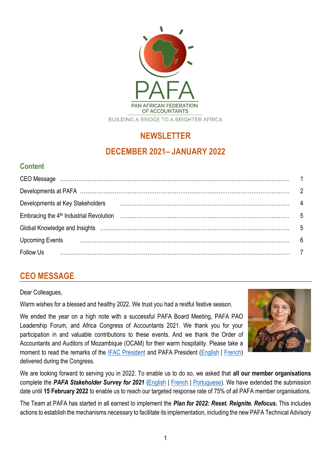

# **NEWSLETTER**

## **DECEMBER 2021– JANUARY 2022**

## **Content**

| Developments at Key Stakeholders                                                                               |                |
|----------------------------------------------------------------------------------------------------------------|----------------|
|                                                                                                                | - 5            |
| Global Knowledge and Insights (and according to the control of the control of the control of the control of th | - 5            |
| <b>Upcoming Events</b>                                                                                         | 6              |
| <b>Follow Us</b>                                                                                               | $\overline{7}$ |

# **CEO MESSAGE**

#### Dear Colleagues,

Warm wishes for a blessed and healthy 2022. We trust you had a restful festive season.

We ended the year on a high note with a successful PAFA Board Meeting, PAFA PAO Leadership Forum, and Africa Congress of Accountants 2021. We thank you for your participation in and valuable contributions to these events. And we thank the Order of Accountants and Auditors of Mozambique (OCAM) for their warm hospitality. Please take a moment to read the remarks of the [IFAC President](https://pafa.org.za/sites/default/files/2022-01/Mr.%20Alan%20Johnson%20Speech.pdf) and PAFA President [\(English](https://pafa.org.za/sites/default/files/2022-01/Mr%20Cosme%20GOUNDETE%20%20President%20of%20PAFA%20Speech.pdf) | [French\)](https://pafa.org.za/sites/default/files/2022-01/Mr%20Cosme%20GOUNDETE%20%20President%20of%20PAFA%20Speech-French.pdf) delivered during the Congress.



We are looking forward to serving you in 2022. To enable us to do so, we asked that **all our member organisations** complete the *PAFA Stakeholder Survey for 2021* [\(English](https://www.surveymonkey.com/r/Z7BMBGJ) | [French](https://www.surveymonkey.com/r/ZJL9C3J) | [Portuguese\)](https://www.surveymonkey.com/r/TJMLZFJ). We have extended the submission date until **15 February 2022** to enable us to reach our targeted response rate of 75% of all PAFA member organisations.

The Team at PAFA has started in all earnest to implement the *Plan for 2022: Reset. Reignite. Refocus***.** This includes actions to establish the mechanisms necessary to facilitate its implementation, including the new PAFA Technical Advisory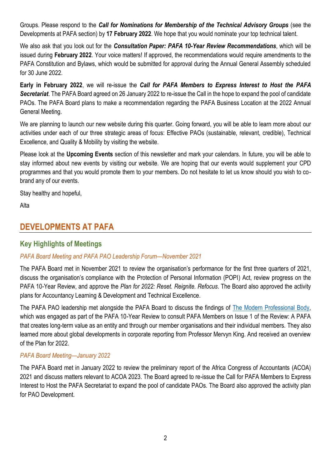Groups. Please respond to the *Call for Nominations for Membership of the Technical Advisory Groups* (see the Developments at PAFA section) by **17 February 2022**. We hope that you would nominate your top technical talent.

We also ask that you look out for the *Consultation Paper: PAFA 10-Year Review Recommendations*, which will be issued during **February 2022**. Your voice matters! If approved, the recommendations would require amendments to the PAFA Constitution and Bylaws, which would be submitted for approval during the Annual General Assembly scheduled for 30 June 2022.

**Early in February 2022**, we will re-issue the *Call for PAFA Members to Express Interest to Host the PAFA Secretariat*. The PAFA Board agreed on 26 January 2022 to re-issue the Call in the hope to expand the pool of candidate PAOs. The PAFA Board plans to make a recommendation regarding the PAFA Business Location at the 2022 Annual General Meeting.

We are planning to launch our new website during this quarter. Going forward, you will be able to learn more about our activities under each of our three strategic areas of focus: Effective PAOs (sustainable, relevant, credible), Technical Excellence, and Quality & Mobility by visiting the website.

Please look at the **Upcoming Events** section of this newsletter and mark your calendars. In future, you will be able to stay informed about new events by visiting our website. We are hoping that our events would supplement your CPD programmes and that you would promote them to your members. Do not hesitate to let us know should you wish to cobrand any of our events.

Stay healthy and hopeful,

Alta

## **DEVELOPMENTS AT PAFA**

### **Key Highlights of Meetings**

#### *PAFA Board Meeting and PAFA PAO Leadership Forum—November 2021*

The PAFA Board met in November 2021 to review the organisation's performance for the first three quarters of 2021, discuss the organisation's compliance with the Protection of Personal Information (POPI) Act, review progress on the PAFA 10-Year Review, and approve the *Plan for 2022: Reset. Reignite. Refocus*. The Board also approved the activity plans for Accountancy Learning & Development and Technical Excellence.

The PAFA PAO leadership met alongside the PAFA Board to discuss the findings of [The Modern Professional Body,](https://www.themodernprofessionalbody.com/) which was engaged as part of the PAFA 10-Year Review to consult PAFA Members on Issue 1 of the Review: A PAFA that creates long-term value as an entity and through our member organisations and their individual members. They also learned more about global developments in corporate reporting from Professor Mervyn King. And received an overview of the Plan for 2022.

#### *PAFA Board Meeting—January 2022*

The PAFA Board met in January 2022 to review the preliminary report of the Africa Congress of Accountants (ACOA) 2021 and discuss matters relevant to ACOA 2023. The Board agreed to re-issue the Call for PAFA Members to Express Interest to Host the PAFA Secretariat to expand the pool of candidate PAOs. The Board also approved the activity plan for PAO Development.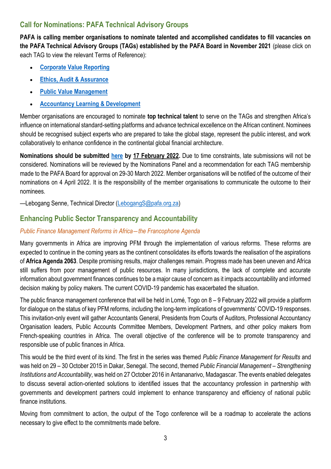### **Call for Nominations: PAFA Technical Advisory Groups**

**PAFA is calling member organisations to nominate talented and accomplished candidates to fill vacancies on the PAFA Technical Advisory Groups (TAGs) established by the PAFA Board in November 2021** (please click on each TAG to view the relevant Terms of Reference):

- **[Corporate Value Reporting](https://zaf01.safelinks.protection.outlook.com/?url=https%3A%2F%2Fpafa.org.za%2Fsites%2Fdefault%2Ffiles%2F2022-01%2FCORPORATE%2520VALUE%2520REPORTING%2520TECHNICAL%2520ADVISORY%2520GROUP%25201.pdf&data=04%7C01%7CSibongileS%40pafa.org.za%7C4392f9fa1edf429ea38808d9da511c25%7C2ee7786fc3a945ac81e6efc75b3c9c72%7C0%7C0%7C637780864165176926%7CUnknown%7CTWFpbGZsb3d8eyJWIjoiMC4wLjAwMDAiLCJQIjoiV2luMzIiLCJBTiI6Ik1haWwiLCJXVCI6Mn0%3D%7C3000&sdata=EuW1tggx%2FneWu4pUy7hCA2V0q%2FQm64DNno%2BEXnd6s8o%3D&reserved=0)**
- **[Ethics, Audit & Assurance](https://zaf01.safelinks.protection.outlook.com/?url=https%3A%2F%2Fpafa.org.za%2Fsites%2Fdefault%2Ffiles%2F2022-01%2FETHICS%252C%2520AUDIT%2520%2526%2520ASSURANCE%2520TECHNICAL%2520ADVISORY%2520GROUP%25202..pdf&data=04%7C01%7CSibongileS%40pafa.org.za%7C4392f9fa1edf429ea38808d9da511c25%7C2ee7786fc3a945ac81e6efc75b3c9c72%7C0%7C0%7C637780864165176926%7CUnknown%7CTWFpbGZsb3d8eyJWIjoiMC4wLjAwMDAiLCJQIjoiV2luMzIiLCJBTiI6Ik1haWwiLCJXVCI6Mn0%3D%7C3000&sdata=3S1PR7%2FMUuhmUyhrKPaOpD8KVS%2FnvIy1TqVqIKQ6tH0%3D&reserved=0)**
- **[Public Value Management](https://zaf01.safelinks.protection.outlook.com/?url=https%3A%2F%2Fpafa.org.za%2Fsites%2Fdefault%2Ffiles%2F2022-01%2FPUBLIC%2520VALUE%2520MANAGEMENT%2520TECHNICAL%2520ADVISORY%2520GROUP%25203..pdf&data=04%7C01%7CSibongileS%40pafa.org.za%7C4392f9fa1edf429ea38808d9da511c25%7C2ee7786fc3a945ac81e6efc75b3c9c72%7C0%7C0%7C637780864165176926%7CUnknown%7CTWFpbGZsb3d8eyJWIjoiMC4wLjAwMDAiLCJQIjoiV2luMzIiLCJBTiI6Ik1haWwiLCJXVCI6Mn0%3D%7C3000&sdata=FsZ7xuMkOuZawkHzFG1QrMyT8RJeJhe2TrqUxA2d8d4%3D&reserved=0)**
- **[Accountancy Learning & Development](https://zaf01.safelinks.protection.outlook.com/?url=https%3A%2F%2Fpafa.org.za%2Fsites%2Fdefault%2Ffiles%2F2022-01%2FACCOUNTANCY%2520LEARNING%2520%2526%2520DEVELOPMENT%2520ADVISORY%2520GROUP.pdf&data=04%7C01%7CSibongileS%40pafa.org.za%7C4392f9fa1edf429ea38808d9da511c25%7C2ee7786fc3a945ac81e6efc75b3c9c72%7C0%7C0%7C637780864165176926%7CUnknown%7CTWFpbGZsb3d8eyJWIjoiMC4wLjAwMDAiLCJQIjoiV2luMzIiLCJBTiI6Ik1haWwiLCJXVCI6Mn0%3D%7C3000&sdata=ja3acoX6QTgOZy3QSqKtp%2FAV4W2QpzK5vJgwZKmogYI%3D&reserved=0)**

Member organisations are encouraged to nominate **top technical talent** to serve on the TAGs and strengthen Africa's influence on international standard-setting platforms and advance technical excellence on the African continent. Nominees should be recognised subject experts who are prepared to take the global stage, represent the public interest, and work collaboratively to enhance confidence in the continental global financial architecture.

**Nominations should be submitted [here](https://zaf01.safelinks.protection.outlook.com/?url=https%3A%2F%2Fforms.office.com%2Fr%2FP1RWTTqLrZ&data=04%7C01%7CSibongileS%40pafa.org.za%7C35290e5e0d3d4de27b1708d9da5184e5%7C2ee7786fc3a945ac81e6efc75b3c9c72%7C0%7C0%7C637780865914899287%7CUnknown%7CTWFpbGZsb3d8eyJWIjoiMC4wLjAwMDAiLCJQIjoiV2luMzIiLCJBTiI6Ik1haWwiLCJXVCI6Mn0%3D%7C3000&sdata=2MknPsROZb0WMCioEkk0PAwfwGg3S%2Fpd0rEcC%2F56rMU%3D&reserved=0) by 17 February 2022.** Due to time constraints, late submissions will not be considered. Nominations will be reviewed by the Nominations Panel and a recommendation for each TAG membership made to the PAFA Board for approval on 29-30 March 2022. Member organisations will be notified of the outcome of their nominations on 4 April 2022. It is the responsibility of the member organisations to communicate the outcome to their nominees.

—Lebogang Senne, Technical Director [\(LebogangS@pafa.org.za\)](mailto:LebogangS@pafa.org.za)

## **Enhancing Public Sector Transparency and Accountability**

#### *Public Finance Management Reforms in Africa―the Francophone Agenda*

Many governments in Africa are improving PFM through the implementation of various reforms. These reforms are expected to continue in the coming years as the continent consolidates its efforts towards the realisation of the aspirations of **Africa Agenda 2063**. Despite promising results, major challenges remain. Progress made has been uneven and Africa still suffers from poor management of public resources. In many jurisdictions, the lack of complete and accurate information about government finances continues to be a major cause of concern as it impacts accountability and informed decision making by policy makers. The current COVID-19 pandemic has exacerbated the situation.

The public finance management conference that will be held in Lomé, Togo on 8 – 9 February 2022 will provide a platform for dialogue on the status of key PFM reforms, including the long-term implications of governments' COVID-19 responses. This invitation-only event will gather Accountants General, Presidents from Courts of Auditors, Professional Accountancy Organisation leaders, Public Accounts Committee Members, Development Partners, and other policy makers from French-speaking countries in Africa. The overall objective of the conference will be to promote transparency and responsible use of public finances in Africa.

This would be the third event of its kind. The first in the series was themed *Public Finance Management for Results* and was held on 29 – 30 October 2015 in Dakar, Senegal. The second, themed *Public Financial Management – Strengthening Institutions and Accountability*, was held on 27 October 2016 in Antananarivo, Madagascar. The events enabled delegates to discuss several action-oriented solutions to identified issues that the accountancy profession in partnership with governments and development partners could implement to enhance transparency and efficiency of national public finance institutions.

Moving from commitment to action, the output of the Togo conference will be a roadmap to accelerate the actions necessary to give effect to the commitments made before.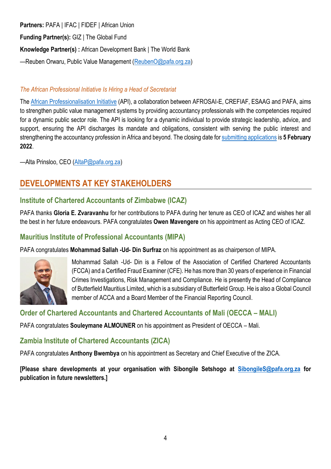#### **Partners:** PAFA | IFAC | FIDEF | African Union

**Funding Partner(s):** GIZ | The Global Fund

**Knowledge Partner(s) :** African Development Bank | The World Bank

—Reuben Orwaru, Public Value Management [\(ReubenO@pafa.org.za\)](mailto:ReubenO@pafa.org.za)

#### *The African Professional Initiative Is Hiring a Head of Secretariat*

The [African Professionalisation Initiative](https://professionalisation.africa/) (API), a collaboration between AFROSAI-E, CREFIAF, ESAAG and PAFA, aims to strengthen public value management systems by providing accountancy professionals with the competencies required for a dynamic public sector role. The API is looking for a dynamic individual to provide strategic leadership, advice, and support, ensuring the API discharges its mandate and obligations, consistent with serving the public interest and strengthening the accountancy profession in Africa and beyond. The closing date for [submitting applications](https://afrosai-e.org.za/2022/01/24/will-you-be-the-new-head-of-the-api-secretariat/) is **5 February 2022**.

—Alta Prinsloo, CEO [\(AltaP@pafa.org.za\)](mailto:AltaP@pafa.org.za)

## **DEVELOPMENTS AT KEY STAKEHOLDERS**

### **Institute of Chartered Accountants of Zimbabwe (ICAZ)**

PAFA thanks **Gloria E. Zvaravanhu** for her contributions to PAFA during her tenure as CEO of ICAZ and wishes her all the best in her future endeavours. PAFA congratulates **Owen Mavengere** on his appointment as Acting CEO of ICAZ.

## **Mauritius Institute of Professional Accountants (MIPA)**

PAFA congratulates **Mohammad Sallah -Ud- Din Surfraz** on his appointment as as chairperson of MIPA.



Mohammad Sallah -Ud- Din is a Fellow of the Association of Certified Chartered Accountants (FCCA) and a Certified Fraud Examiner (CFE). He has more than 30 years of experience in Financial Crimes Investigations, Risk Management and Compliance. He is presently the Head of Compliance of Butterfield Mauritius Limited, which is a subsidiary of Butterfield Group. He is also a Global Council member of ACCA and a Board Member of the Financial Reporting Council.

### **Order of Chartered Accountants and Chartered Accountants of Mali (OECCA – MALI)**

PAFA congratulates **Souleymane ALMOUNER** on his appointment as President of OECCA – Mali.

### **Zambia Institute of Chartered Accountants (ZICA)**

PAFA congratulates **Anthony Bwembya** on his appointment as Secretary and Chief Executive of the ZICA.

**[Please share developments at your organisation with Sibongile Setshogo at [SibongileS@pafa.org.za](mailto:SibongileS@pafa.org.za) for publication in future newsletters.]**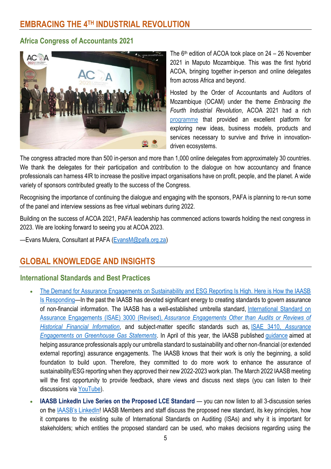#### **Africa Congress of Accountants 2021**



The  $6<sup>th</sup>$  edition of ACOA took place on 24 – 26 November 2021 in Maputo Mozambique. This was the first hybrid ACOA, bringing together in-person and online delegates from across Africa and beyond.

Hosted by the Order of Accountants and Auditors of Mozambique (OCAM) under the theme *Embracing the Fourth Industrial Revolution*, ACOA 2021 had a rich [programme](https://acoa2021.com/programme/) that provided an excellent platform for exploring new ideas, business models, products and services necessary to survive and thrive in innovationdriven ecosystems.

The congress attracted more than 500 in-person and more than 1,000 online delegates from approximately 30 countries. We thank the delegates for their participation and contribution to the dialogue on how accountancy and finance professionals can harness 4IR to increase the positive impact organisations have on profit, people, and the planet. A wide variety o[f sponsors](https://acoa2021.com/listed-sponsors-per-category/) contributed greatly to the success of the Congress.

Recognising the importance of continuing the dialogue and engaging with the sponsors, PAFA is planning to re-run some of the panel and interview sessions as free virtual webinars during 2022.

Building on the success of ACOA 2021, PAFA leadership has commenced actions towards holding the next congress in 2023. We are looking forward to seeing you at ACOA 2023.

—Evans Mulera, Consultant at PAFA [\(EvansM@pafa.org.za\)](mailto:EvansM@pafa.org.za)

## **GLOBAL KNOWLEDGE AND INSIGHTS**

#### **International Standards and Best Practices**

- The Demand for Assurance Engagements on Sustainability and ESG Reporting Is High. Here is How the IAASB [Is Responding](https://zaf01.safelinks.protection.outlook.com/?url=https%3A%2F%2Fwww.ifac.org%2Fknowledge-gateway%2Fcontributing-global-economy%2Fdiscussion%2Fdemand-assurance-engagements-sustainability-and-esg-reporting-high-here-how-iaasb-responding&data=04%7C01%7CSibongileS%40pafa.org.za%7C3baa5d1b7e1742a67cda08d9d40f6320%7C2ee7786fc3a945ac81e6efc75b3c9c72%7C0%7C0%7C637773984815802094%7CUnknown%7CTWFpbGZsb3d8eyJWIjoiMC4wLjAwMDAiLCJQIjoiV2luMzIiLCJBTiI6Ik1haWwiLCJXVCI6Mn0%3D%7C3000&sdata=Vv1VST1TbUR6wHRzxudYGv%2B3KRESg8S9bHa%2BH6rmp1A%3D&reserved=0)—In the past the IAASB has devoted significant energy to creating standards to govern assurance of non-financial information. The IAASB has a well-established umbrella standard, [International Standard on](https://zaf01.safelinks.protection.outlook.com/?url=https%3A%2F%2Feis.international-standards.org%2Fstandards%2Fiaasb%2F2020%3Fsection%3DMASTER_47&data=04%7C01%7CSibongileS%40pafa.org.za%7C3baa5d1b7e1742a67cda08d9d40f6320%7C2ee7786fc3a945ac81e6efc75b3c9c72%7C0%7C0%7C637773984815812079%7CUnknown%7CTWFpbGZsb3d8eyJWIjoiMC4wLjAwMDAiLCJQIjoiV2luMzIiLCJBTiI6Ik1haWwiLCJXVCI6Mn0%3D%7C3000&sdata=lw7p4Ilt5auC5kwmk7%2Fsl9BLabEHAtdnSq2hGGRsiDE%3D&reserved=0)  Assurance Engagements (ISAE) 3000 (Revised), *[Assurance Engagements Other than Audits or Reviews of](https://zaf01.safelinks.protection.outlook.com/?url=https%3A%2F%2Feis.international-standards.org%2Fstandards%2Fiaasb%2F2020%3Fsection%3DMASTER_47&data=04%7C01%7CSibongileS%40pafa.org.za%7C3baa5d1b7e1742a67cda08d9d40f6320%7C2ee7786fc3a945ac81e6efc75b3c9c72%7C0%7C0%7C637773984815812079%7CUnknown%7CTWFpbGZsb3d8eyJWIjoiMC4wLjAwMDAiLCJQIjoiV2luMzIiLCJBTiI6Ik1haWwiLCJXVCI6Mn0%3D%7C3000&sdata=lw7p4Ilt5auC5kwmk7%2Fsl9BLabEHAtdnSq2hGGRsiDE%3D&reserved=0)  [Historical Financial Information](https://zaf01.safelinks.protection.outlook.com/?url=https%3A%2F%2Feis.international-standards.org%2Fstandards%2Fiaasb%2F2020%3Fsection%3DMASTER_47&data=04%7C01%7CSibongileS%40pafa.org.za%7C3baa5d1b7e1742a67cda08d9d40f6320%7C2ee7786fc3a945ac81e6efc75b3c9c72%7C0%7C0%7C637773984815812079%7CUnknown%7CTWFpbGZsb3d8eyJWIjoiMC4wLjAwMDAiLCJQIjoiV2luMzIiLCJBTiI6Ik1haWwiLCJXVCI6Mn0%3D%7C3000&sdata=lw7p4Ilt5auC5kwmk7%2Fsl9BLabEHAtdnSq2hGGRsiDE%3D&reserved=0)*, and subject-matter specific standards such as, ISAE 3410*[, Assurance](https://zaf01.safelinks.protection.outlook.com/?url=https%3A%2F%2Feis.international-standards.org%2Fstandards%2Fiaasb%2F2020%3Fsection%3DMASTER_50&data=04%7C01%7CSibongileS%40pafa.org.za%7C3baa5d1b7e1742a67cda08d9d40f6320%7C2ee7786fc3a945ac81e6efc75b3c9c72%7C0%7C0%7C637773984815812079%7CUnknown%7CTWFpbGZsb3d8eyJWIjoiMC4wLjAwMDAiLCJQIjoiV2luMzIiLCJBTiI6Ik1haWwiLCJXVCI6Mn0%3D%7C3000&sdata=lvx7nAnxS7Fi%2BEKeDp90c9kQvILRlGeB6lnXnRv9fbA%3D&reserved=0)  [Engagements on Greenhouse Gas Statements](https://zaf01.safelinks.protection.outlook.com/?url=https%3A%2F%2Feis.international-standards.org%2Fstandards%2Fiaasb%2F2020%3Fsection%3DMASTER_50&data=04%7C01%7CSibongileS%40pafa.org.za%7C3baa5d1b7e1742a67cda08d9d40f6320%7C2ee7786fc3a945ac81e6efc75b3c9c72%7C0%7C0%7C637773984815812079%7CUnknown%7CTWFpbGZsb3d8eyJWIjoiMC4wLjAwMDAiLCJQIjoiV2luMzIiLCJBTiI6Ik1haWwiLCJXVCI6Mn0%3D%7C3000&sdata=lvx7nAnxS7Fi%2BEKeDp90c9kQvILRlGeB6lnXnRv9fbA%3D&reserved=0)*. In April of this year, the IAASB published [guidance](https://zaf01.safelinks.protection.outlook.com/?url=https%3A%2F%2Fwww.iaasb.org%2Fpublications%2Fnon-authoritative-guidance-applying-isae-3000-revised-extended-external-reporting-assurance&data=04%7C01%7CSibongileS%40pafa.org.za%7C3baa5d1b7e1742a67cda08d9d40f6320%7C2ee7786fc3a945ac81e6efc75b3c9c72%7C0%7C0%7C637773984815822079%7CUnknown%7CTWFpbGZsb3d8eyJWIjoiMC4wLjAwMDAiLCJQIjoiV2luMzIiLCJBTiI6Ik1haWwiLCJXVCI6Mn0%3D%7C3000&sdata=Cz0Nzo4K9b%2BDa3KM%2FaMXPbt0ez3Y31bhT%2BlbQCBsmsc%3D&reserved=0) aimed at helping assurance professionals apply our umbrella standard to sustainability and other non-financial (or extended external reporting) assurance engagements. The IAASB knows that their work is only the beginning, a solid foundation to build upon. Therefore, they committed to do more work to enhance the assurance of sustainability/ESG reporting when they approved their new 2022-2023 work plan. The March 2022 IAASB meeting will the first opportunity to provide feedback, share views and discuss next steps (you can listen to their discussions via [YouTube\)](https://zaf01.safelinks.protection.outlook.com/?url=https%3A%2F%2Fwww.youtube.com%2Fc%2FIAASB&data=04%7C01%7CSibongileS%40pafa.org.za%7C3baa5d1b7e1742a67cda08d9d40f6320%7C2ee7786fc3a945ac81e6efc75b3c9c72%7C0%7C0%7C637773984815822079%7CUnknown%7CTWFpbGZsb3d8eyJWIjoiMC4wLjAwMDAiLCJQIjoiV2luMzIiLCJBTiI6Ik1haWwiLCJXVCI6Mn0%3D%7C3000&sdata=XAfgXB0euHwJWypA9X0TOhN12C3dbwH%2BU0%2F7xYOt4V8%3D&reserved=0).
- **IAASB LinkedIn Live Series on the Proposed LCE Standard** you can now listen to all 3-discussion series on the [IAASB's LinkedIn](https://zaf01.safelinks.protection.outlook.com/?url=https%3A%2F%2Fwww.linkedin.com%2Fcompany%2Fiaasb%2Fevents%2F&data=04%7C01%7CSibongileS%40pafa.org.za%7C3baa5d1b7e1742a67cda08d9d40f6320%7C2ee7786fc3a945ac81e6efc75b3c9c72%7C0%7C0%7C637773984816041963%7CUnknown%7CTWFpbGZsb3d8eyJWIjoiMC4wLjAwMDAiLCJQIjoiV2luMzIiLCJBTiI6Ik1haWwiLCJXVCI6Mn0%3D%7C3000&sdata=Tu6NPpPUi%2BoGKkkWAJhn4R98xgWPJWVjx0U3SPDOpaA%3D&reserved=0)! IAASB Members and staff discuss the proposed new standard, its key principles, how it compares to the existing suite of International Standards on Auditing (ISAs) and why it is important for stakeholders; which entities the proposed standard can be used, who makes decisions regarding using the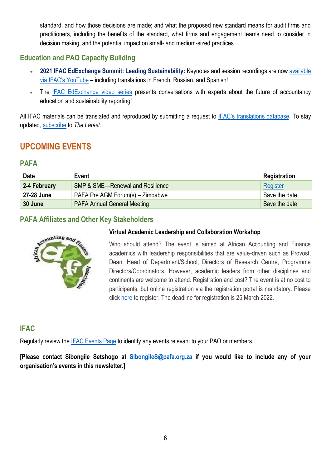standard, and how those decisions are made; and what the proposed new standard means for audit firms and practitioners, including the benefits of the standard, what firms and engagement teams need to consider in decision making, and the potential impact on small- and medium-sized practices

### **Education and PAO Capacity Building**

- **2021 IFAC EdExchange Summit: Leading Sustainability:** Keynotes and session recordings are now [available](https://zaf01.safelinks.protection.outlook.com/?url=https%3A%2F%2Fwww.youtube.com%2Fwatch%3Fv%3DRxN6t2T00bE%26list%3DPLfuuMk7vk2dgOCnUZJIJKbLjuDN7V62lr%26index%3D7&data=04%7C01%7CSibongileS%40pafa.org.za%7C3baa5d1b7e1742a67cda08d9d40f6320%7C2ee7786fc3a945ac81e6efc75b3c9c72%7C0%7C0%7C637773984816081933%7CUnknown%7CTWFpbGZsb3d8eyJWIjoiMC4wLjAwMDAiLCJQIjoiV2luMzIiLCJBTiI6Ik1haWwiLCJXVCI6Mn0%3D%7C3000&sdata=%2Fnhe1FLD7Bgykxa5WRMhzn%2F3rP7dBoBWvOD7Cg7bSjs%3D&reserved=0)  [via IFAC's YouTube](https://zaf01.safelinks.protection.outlook.com/?url=https%3A%2F%2Fwww.youtube.com%2Fwatch%3Fv%3DRxN6t2T00bE%26list%3DPLfuuMk7vk2dgOCnUZJIJKbLjuDN7V62lr%26index%3D7&data=04%7C01%7CSibongileS%40pafa.org.za%7C3baa5d1b7e1742a67cda08d9d40f6320%7C2ee7786fc3a945ac81e6efc75b3c9c72%7C0%7C0%7C637773984816081933%7CUnknown%7CTWFpbGZsb3d8eyJWIjoiMC4wLjAwMDAiLCJQIjoiV2luMzIiLCJBTiI6Ik1haWwiLCJXVCI6Mn0%3D%7C3000&sdata=%2Fnhe1FLD7Bgykxa5WRMhzn%2F3rP7dBoBWvOD7Cg7bSjs%3D&reserved=0) – including translations in French, Russian, and Spanish!
- The [IFAC EdExchange video series](https://zaf01.safelinks.protection.outlook.com/?url=https%3A%2F%2Fwww.ifac.org%2Fknowledge-gateway%2Fpreparing-future-ready-professionals%2Fdiscussion%2Fifac-edexchange-video-series&data=04%7C01%7CSibongileS%40pafa.org.za%7C3baa5d1b7e1742a67cda08d9d40f6320%7C2ee7786fc3a945ac81e6efc75b3c9c72%7C0%7C0%7C637773984816091922%7CUnknown%7CTWFpbGZsb3d8eyJWIjoiMC4wLjAwMDAiLCJQIjoiV2luMzIiLCJBTiI6Ik1haWwiLCJXVCI6Mn0%3D%7C3000&sdata=Sf80TMZEC0ddJdyhISwNJmayalwIZMcizSATJE%2FVhLw%3D&reserved=0) presents conversations with experts about the future of accountancy education and sustainability reporting!

All IFAC materials can be translated and reproduced by submitting a request to **[IFAC's translations](https://protect-za.mimecast.com/s/6vgvCKO71pHqqmO9fMD0OQ?domain=ifac.org) database**. To stay updated, [subscribe](https://protect-za.mimecast.com/s/DnSSCLg17qcPP4KXuqF8PO?domain=ifac.org) to *The Latest.*

## **UPCOMING EVENTS**

#### **PAFA**

| <b>Date</b>  | Event                                       | <b>Registration</b> |
|--------------|---------------------------------------------|---------------------|
| 2-4 February | <b>SMP &amp; SME-Renewal and Resilience</b> | Register            |
| 27-28 June   | PAFA Pre AGM Forum(s) - Zimbabwe            | Save the date       |
| 30 June      | <b>PAFA Annual General Meeting</b>          | Save the date       |

### **PAFA Affiliates and Other Key Stakeholders**



#### **Virtual Academic Leadership and Collaboration Workshop**

Who should attend? The event is aimed at African Accounting and Finance academics with leadership responsibilities that are value-driven such as Provost, Dean, Head of Department/School, Directors of Research Centre, Programme Directors/Coordinators. However, academic leaders from other disciplines and continents are welcome to attend. Registration and cost? The event is at no cost to participants, but online registration via the registration portal is mandatory. Please click [here](https://pafa.org.za/sites/default/files/2022-01/2022%20AAFA%20Academic%20Leadership%20%28Leadership%20acad%C3%A9mique%29.pdf) to register. The deadline for registration is 25 March 2022.

## **IFAC**

Regularly review the **IFAC Events Page to identify any events relevant to your PAO or members.** 

**[Please contact Sibongile Setshogo at [SibongileS@pafa.org.za](mailto:SibongileS@pafa.org.za) if you would like to include any of your organisation's events in this newsletter.]**